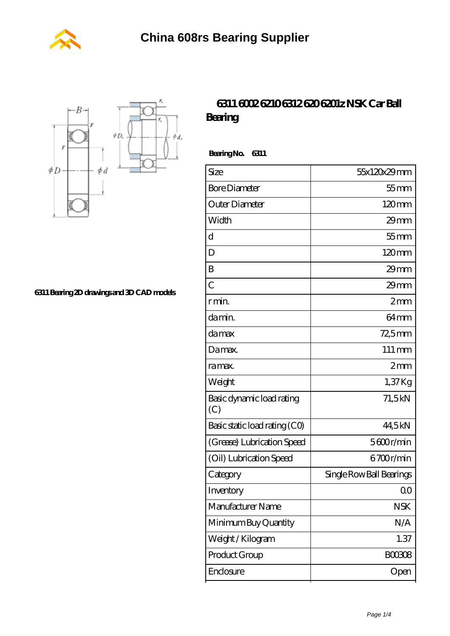



**[6311 Bearing 2D drawings and 3D CAD models](https://m.wanatahschool.com/pic-510496.html)**

## **[6311 6002 6210 6312 620 6201z NSK Car Ball](https://m.wanatahschool.com/nsk-6311-bearing/) [Bearing](https://m.wanatahschool.com/nsk-6311-bearing/)**

 **Bearing No. 6311**

| Size                             | 55x120x29mm              |
|----------------------------------|--------------------------|
| <b>Bore Diameter</b>             | $55$ mm                  |
| Outer Diameter                   | 120mm                    |
| Width                            | $29$ mm                  |
| d                                | $55$ mm                  |
| D                                | 120mm                    |
| B                                | $29$ mm                  |
| $\overline{C}$                   | $29$ mm                  |
| r min.                           | 2mm                      |
| da min.                          | 64 <sub>mm</sub>         |
| damax                            | 72,5mm                   |
| Damax.                           | $111 \,\mathrm{mm}$      |
| ra max.                          | 2mm                      |
| Weight                           | $1,37$ Kg                |
| Basic dynamic load rating<br>(C) | 71,5kN                   |
| Basic static load rating (CO)    | 44,5kN                   |
| (Grease) Lubrication Speed       | $5600$ r/min             |
| (Oil) Lubrication Speed          | 6700r/min                |
| Category                         | Single Row Ball Bearings |
| Inventory                        | 00                       |
| Manufacturer Name                | <b>NSK</b>               |
| Minimum Buy Quantity             | N/A                      |
| Weight / Kilogram                | 1.37                     |
| Product Group                    | <b>BOO3O8</b>            |
| Enclosure                        | Open                     |
|                                  |                          |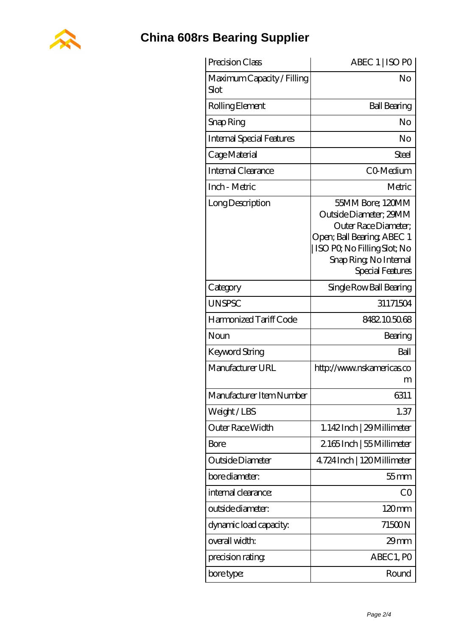

## **[China 608rs Bearing Supplier](https://m.wanatahschool.com)**

| Precision Class                    | ABEC 1   ISO PO                                                                                                                                                              |
|------------------------------------|------------------------------------------------------------------------------------------------------------------------------------------------------------------------------|
| Maximum Capacity / Filling<br>Slot | No                                                                                                                                                                           |
| Rolling Element                    | <b>Ball Bearing</b>                                                                                                                                                          |
| Snap Ring                          | No                                                                                                                                                                           |
| <b>Internal Special Features</b>   | No                                                                                                                                                                           |
| Cage Material                      | <b>Steel</b>                                                                                                                                                                 |
| Internal Clearance                 | CO-Medium                                                                                                                                                                    |
| Inch - Metric                      | Metric                                                                                                                                                                       |
| Long Description                   | 55MM Bore; 120MM<br>Outside Diameter; 29MM<br>Outer Race Diameter;<br>Open; Ball Bearing; ABEC 1<br>ISO PQ No Filling Slot; No<br>Snap Ring, No Internal<br>Special Features |
| Category                           | Single Row Ball Bearing                                                                                                                                                      |
| <b>UNSPSC</b>                      | 31171504                                                                                                                                                                     |
| Harmonized Tariff Code             | 8482105068                                                                                                                                                                   |
| Noun                               | Bearing                                                                                                                                                                      |
| Keyword String                     | Ball                                                                                                                                                                         |
| Manufacturer URL                   | http://www.nskamericas.co<br>m                                                                                                                                               |
| Manufacturer Item Number           | 6311                                                                                                                                                                         |
| Weight/LBS                         | 1.37                                                                                                                                                                         |
| Outer Race Width                   | 1.142Inch   29 Millimeter                                                                                                                                                    |
| Bore                               | 2165Inch   55Millimeter                                                                                                                                                      |
| Outside Diameter                   | 4724 Inch   120 Millimeter                                                                                                                                                   |
| bore diameter:                     | $55$ mm                                                                                                                                                                      |
| internal clearance:                | CO                                                                                                                                                                           |
| outside diameter:                  | $120 \text{mm}$                                                                                                                                                              |
| dynamic load capacity:             | 71500N                                                                                                                                                                       |
| overall width:                     | 29mm                                                                                                                                                                         |
| precision rating                   | ABEC 1, PO                                                                                                                                                                   |
| bore type:                         | Round                                                                                                                                                                        |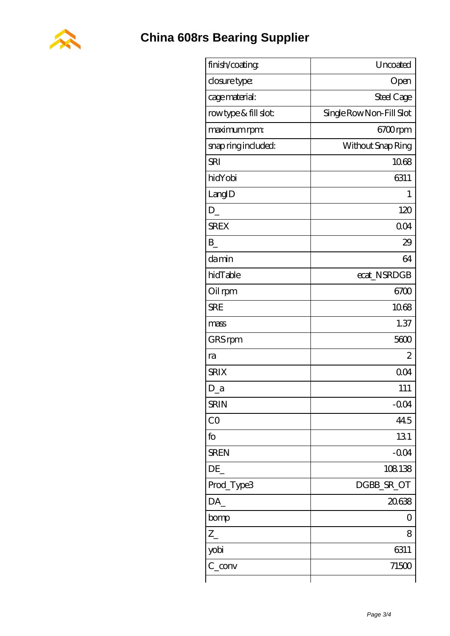

| finish/coating       | Uncoated                 |
|----------------------|--------------------------|
| closure type:        | Open                     |
| cage material:       | Steel Cage               |
| rowtype & fill slot: | Single Row Non-Fill Slot |
| maximum rpm:         | 6700rpm                  |
| snap ring included:  | Without Snap Ring        |
| <b>SRI</b>           | 1068                     |
| hidYobi              | 6311                     |
| LangID               | 1                        |
| D                    | 120                      |
| <b>SREX</b>          | 004                      |
| $\mathbf{B}$         | 29                       |
| damin                | 64                       |
| hidTable             | ecat_NSRDGB              |
| Oil rpm              | 6700                     |
| <b>SRE</b>           | 1068                     |
| mass                 | 1.37                     |
| GRS rpm              | 5600                     |
| ra                   | $\overline{2}$           |
| <b>SRIX</b>          | 004                      |
| D_a                  | 111                      |
| <b>SRIN</b>          | $-0.04$                  |
| CO                   | 445                      |
| fo                   | 131                      |
| <b>SREN</b>          | $-0.04$                  |
| DE                   | 108138                   |
| Prod_Type3           | DGBB_SR_OT               |
| DA                   | 20638                    |
| bomp                 | 0                        |
| $Z_{-}$              | 8                        |
| yobi                 | 6311                     |
| $C_{conv}$           | 71500                    |
|                      |                          |